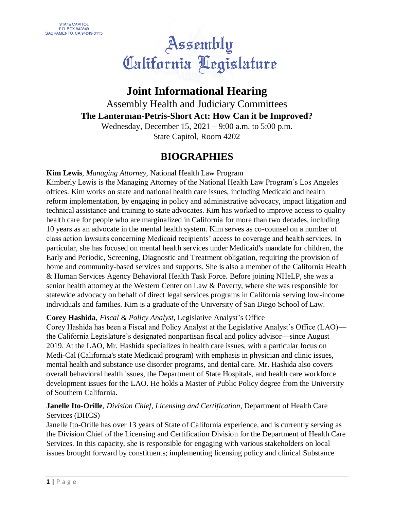# Assembly<br>California Aegislature

# **Joint Informational Hearing**

Assembly Health and Judiciary Committees **The Lanterman-Petris-Short Act: How Can it be Improved?**

Wednesday, December 15, 2021 – 9:00 a.m. to 5:00 p.m. State Capitol, Room 4202

# **BIOGRAPHIES**

**Kim Lewis**, *Managing Attorney,* National Health Law Program Kimberly Lewis is the Managing Attorney of the National Health Law Program's Los Angeles offices. Kim works on state and national health care issues, including Medicaid and health reform implementation, by engaging in policy and administrative advocacy, impact litigation and technical assistance and training to state advocates. Kim has worked to improve access to quality health care for people who are marginalized in California for more than two decades, including 10 years as an advocate in the mental health system. Kim serves as co-counsel on a number of class action lawsuits concerning Medicaid recipients' access to coverage and health services. In particular, she has focused on mental health services under Medicaid's mandate for children, the Early and Periodic, Screening, Diagnostic and Treatment obligation, requiring the provision of home and community-based services and supports. She is also a member of the California Health & Human Services Agency Behavioral Health Task Force. Before joining NHeLP, she was a senior health attorney at the Western Center on Law & Poverty, where she was responsible for statewide advocacy on behalf of direct legal services programs in California serving low-income individuals and families. Kim is a graduate of the University of San Diego School of Law.

# **Corey Hashida**, *Fiscal & Policy Analyst,* Legislative Analyst's Office

Corey Hashida has been a Fiscal and Policy Analyst at the Legislative Analyst's Office (LAO) the California Legislature's designated nonpartisan fiscal and policy advisor—since August 2019. At the LAO, Mr. Hashida specializes in health care issues, with a particular focus on Medi-Cal (California's state Medicaid program) with emphasis in physician and clinic issues, mental health and substance use disorder programs, and dental care. Mr. Hashida also covers overall behavioral health issues, the Department of State Hospitals, and health care workforce development issues for the LAO. He holds a Master of Public Policy degree from the University of Southern California.

# **Janelle Ito-Orille**, *Division Chief, Licensing and Certification,* Department of Health Care Services (DHCS)

Janelle Ito-Orille has over 13 years of State of California experience, and is currently serving as the Division Chief of the Licensing and Certification Division for the Department of Health Care Services. In this capacity, she is responsible for engaging with various stakeholders on local issues brought forward by constituents; implementing licensing policy and clinical Substance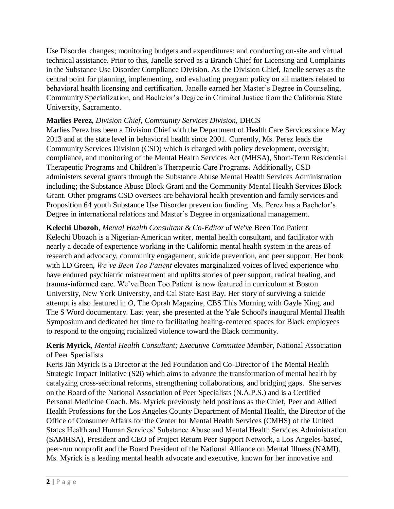Use Disorder changes; monitoring budgets and expenditures; and conducting on-site and virtual technical assistance. Prior to this, Janelle served as a Branch Chief for Licensing and Complaints in the Substance Use Disorder Compliance Division. As the Division Chief, Janelle serves as the central point for planning, implementing, and evaluating program policy on all matters related to behavioral health licensing and certification. Janelle earned her Master's Degree in Counseling, Community Specialization, and Bachelor's Degree in Criminal Justice from the California State University, Sacramento.

#### **Marlies Perez**, *Division Chief, Community Services Division,* DHCS

Marlies Perez has been a Division Chief with the Department of Health Care Services since May 2013 and at the state level in behavioral health since 2001. Currently, Ms. Perez leads the Community Services Division (CSD) which is charged with policy development, oversight, compliance, and monitoring of the Mental Health Services Act (MHSA), Short-Term Residential Therapeutic Programs and Children's Therapeutic Care Programs. Additionally, CSD administers several grants through the Substance Abuse Mental Health Services Administration including; the Substance Abuse Block Grant and the Community Mental Health Services Block Grant. Other programs CSD oversees are behavioral health prevention and family services and Proposition 64 youth Substance Use Disorder prevention funding. Ms. Perez has a Bachelor's Degree in international relations and Master's Degree in organizational management.

**Kelechi Ubozoh**, *Mental Health Consultant & Co-Editor* of We've Been Too Patient Kelechi Ubozoh is a Nigerian-American writer, mental health consultant, and facilitator with nearly a decade of experience working in the California mental health system in the areas of research and advocacy, community engagement, suicide prevention, and peer support. Her book with LD Green, *We've Been Too Patient* elevates marginalized voices of lived experience who have endured psychiatric mistreatment and uplifts stories of peer support, radical healing, and trauma-informed care. We've Been Too Patient is now featured in curriculum at Boston University, New York University, and Cal State East Bay. Her story of surviving a suicide attempt is also featured in *O*, The Oprah Magazine, CBS This Morning with Gayle King, and The S Word documentary. Last year, she presented at the Yale School's inaugural Mental Health Symposium and dedicated her time to facilitating healing-centered spaces for Black employees to respond to the ongoing racialized violence toward the Black community.

#### **Keris Myrick**, *Mental Health Consultant; Executive Committee Member,* National Association of Peer Specialists

Keris Jän Myrick is a Director at the Jed Foundation and Co-Director of The Mental Health Strategic Impact Initiative (S2i) which aims to advance the transformation of mental health by catalyzing cross-sectional reforms, strengthening collaborations, and bridging gaps. She serves on the Board of the National Association of Peer Specialists (N.A.P.S.) and is a Certified Personal Medicine Coach. Ms. Myrick previously held positions as the Chief, Peer and Allied Health Professions for the Los Angeles County Department of Mental Health, the Director of the Office of Consumer Affairs for the Center for Mental Health Services (CMHS) of the United States Health and Human Services' Substance Abuse and Mental Health Services Administration (SAMHSA), President and CEO of Project Return Peer Support Network, a Los Angeles-based, peer-run nonprofit and the Board President of the National Alliance on Mental Illness (NAMI). Ms. Myrick is a leading mental health advocate and executive, known for her innovative and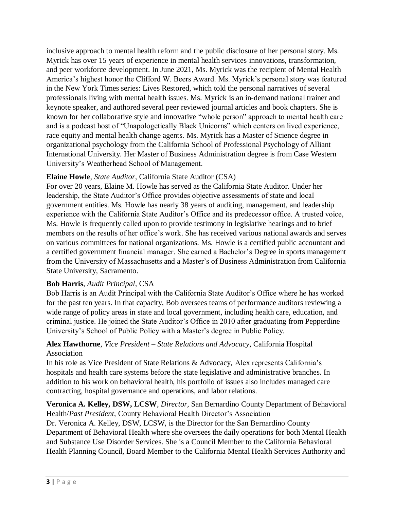inclusive approach to mental health reform and the public disclosure of her personal story. Ms. Myrick has over 15 years of experience in mental health services innovations, transformation, and peer workforce development. In June 2021, Ms. Myrick was the recipient of Mental Health America's highest honor the Clifford W. Beers Award. Ms. Myrick's personal story was featured in the New York Times series: Lives Restored, which told the personal narratives of several professionals living with mental health issues. Ms. Myrick is an in-demand national trainer and keynote speaker, and authored several peer reviewed journal articles and book chapters. She is known for her collaborative style and innovative "whole person" approach to mental health care and is a podcast host of "Unapologetically Black Unicorns" which centers on lived experience, race equity and mental health change agents. Ms. Myrick has a Master of Science degree in organizational psychology from the California School of Professional Psychology of Alliant International University. Her Master of Business Administration degree is from Case Western University's Weatherhead School of Management.

# **Elaine Howle**, *State Auditor,* California State Auditor (CSA)

For over 20 years, Elaine M. Howle has served as the California State Auditor. Under her leadership, the State Auditor's Office provides objective assessments of state and local government entities. Ms. Howle has nearly 38 years of auditing, management, and leadership experience with the California State Auditor's Office and its predecessor office. A trusted voice, Ms. Howle is frequently called upon to provide testimony in legislative hearings and to brief members on the results of her office's work. She has received various national awards and serves on various committees for national organizations. Ms. Howle is a certified public accountant and a certified government financial manager. She earned a Bachelor's Degree in sports management from the University of Massachusetts and a Master's of Business Administration from California State University, Sacramento.

#### **Bob Harris**, *Audit Principal,* CSA

Bob Harris is an Audit Principal with the California State Auditor's Office where he has worked for the past ten years. In that capacity, Bob oversees teams of performance auditors reviewing a wide range of policy areas in state and local government, including health care, education, and criminal justice. He joined the State Auditor's Office in 2010 after graduating from Pepperdine University's School of Public Policy with a Master's degree in Public Policy.

#### **Alex Hawthorne**, *Vice President – State Relations and Advocacy,* California Hospital Association

In his role as Vice President of State Relations & Advocacy, Alex represents California's hospitals and health care systems before the state legislative and administrative branches. In addition to his work on behavioral health, his portfolio of issues also includes managed care contracting, hospital governance and operations, and labor relations.

#### **Veronica A. Kelley, DSW, LCSW**, *Director,* San Bernardino County Department of Behavioral Health/*Past President,* County Behavioral Health Director's Association

Dr. Veronica A. Kelley, DSW, LCSW, is the Director for the San Bernardino County Department of Behavioral Health where she oversees the daily operations for both Mental Health and Substance Use Disorder Services. She is a Council Member to the California Behavioral Health Planning Council, Board Member to the California Mental Health Services Authority and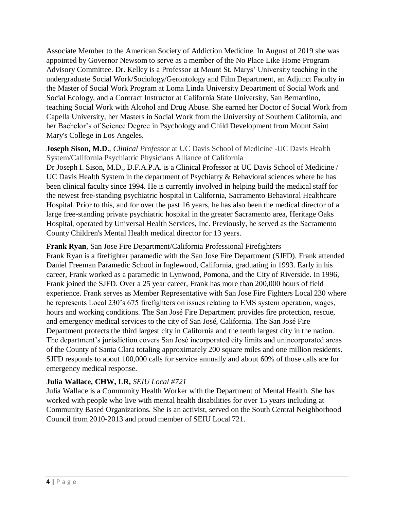Associate Member to the American Society of Addiction Medicine. In August of 2019 she was appointed by Governor Newsom to serve as a member of the No Place Like Home Program Advisory Committee. Dr. Kelley is a Professor at Mount St. Marys' University teaching in the undergraduate Social Work/Sociology/Gerontology and Film Department, an Adjunct Faculty in the Master of Social Work Program at Loma Linda University Department of Social Work and Social Ecology, and a Contract Instructor at California State University, San Bernardino, teaching Social Work with Alcohol and Drug Abuse. She earned her Doctor of Social Work from Capella University, her Masters in Social Work from the University of Southern California, and her Bachelor's of Science Degree in Psychology and Child Development from Mount Saint Mary's College in Los Angeles.

**Joseph Sison, M.D.**, *Clinical Professor* at UC Davis School of Medicine -UC Davis Health System/California Psychiatric Physicians Alliance of California

Dr Joseph I. Sison, M.D., D.F.A.P.A. is a Clinical Professor at UC Davis School of Medicine / UC Davis Health System in the department of Psychiatry & Behavioral sciences where he has been clinical faculty since 1994. He is currently involved in helping build the medical staff for the newest free-standing psychiatric hospital in California, Sacramento Behavioral Healthcare Hospital. Prior to this, and for over the past 16 years, he has also been the medical director of a large free-standing private psychiatric hospital in the greater Sacramento area, Heritage Oaks Hospital, operated by Universal Health Services, Inc. Previously, he served as the Sacramento County Children's Mental Health medical director for 13 years.

**Frank Ryan**, San Jose Fire Department/California Professional Firefighters

Frank Ryan is a firefighter paramedic with the San Jose Fire Department (SJFD). Frank attended Daniel Freeman Paramedic School in Inglewood, California, graduating in 1993. Early in his career, Frank worked as a paramedic in Lynwood, Pomona, and the City of Riverside. In 1996, Frank joined the SJFD. Over a 25 year career, Frank has more than 200,000 hours of field experience. Frank serves as Member Representative with San Jose Fire Fighters Local 230 where he represents Local 230's 675 firefighters on issues relating to EMS system operation, wages, hours and working conditions. The San José Fire Department provides fire protection, rescue, and emergency medical services to the city of San José, California. The San José Fire Department protects the third largest city in California and the tenth largest city in the nation. The department's jurisdiction covers San José incorporated city limits and unincorporated areas of the County of Santa Clara totaling approximately 200 square miles and one million residents. SJFD responds to about 100,000 calls for service annually and about 60% of those calls are for emergency medical response.

# **Julia Wallace, CHW, LR,** *SEIU Local #721*

Julia Wallace is a Community Health Worker with the Department of Mental Health. She has worked with people who live with mental health disabilities for over 15 years including at Community Based Organizations. She is an activist, served on the South Central Neighborhood Council from 2010-2013 and proud member of SEIU Local 721.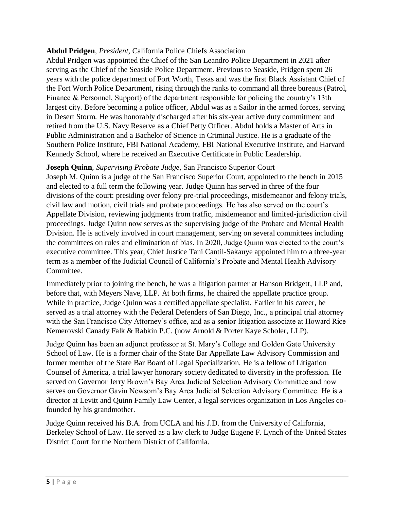#### **Abdul Pridgen**, *President,* California Police Chiefs Association

Abdul Pridgen was appointed the Chief of the San Leandro Police Department in 2021 after serving as the Chief of the Seaside Police Department. Previous to Seaside, Pridgen spent 26 years with the police department of Fort Worth, Texas and was the first Black Assistant Chief of the Fort Worth Police Department, rising through the ranks to command all three bureaus (Patrol, Finance & Personnel, Support) of the department responsible for policing the country's 13th largest city. Before becoming a police officer, Abdul was as a Sailor in the armed forces, serving in Desert Storm. He was honorably discharged after his six-year active duty commitment and retired from the U.S. Navy Reserve as a Chief Petty Officer. Abdul holds a Master of Arts in Public Administration and a Bachelor of Science in Criminal Justice. He is a graduate of the Southern Police Institute, FBI National Academy, FBI National Executive Institute, and Harvard Kennedy School, where he received an Executive Certificate in Public Leadership.

#### **Joseph Quinn**, *Supervising Probate Judge,* San Francisco Superior Court

Joseph M. Quinn is a judge of the San Francisco Superior Court, appointed to the bench in 2015 and elected to a full term the following year. Judge Quinn has served in three of the four divisions of the court: presiding over felony pre-trial proceedings, misdemeanor and felony trials, civil law and motion, civil trials and probate proceedings. He has also served on the court's Appellate Division, reviewing judgments from traffic, misdemeanor and limited-jurisdiction civil proceedings. Judge Quinn now serves as the supervising judge of the Probate and Mental Health Division. He is actively involved in court management, serving on several committees including the committees on rules and elimination of bias. In 2020, Judge Quinn was elected to the court's executive committee. This year, Chief Justice Tani Cantil-Sakauye appointed him to a three-year term as a member of the Judicial Council of California's Probate and Mental Health Advisory Committee.

Immediately prior to joining the bench, he was a litigation partner at Hanson Bridgett, LLP and, before that, with Meyers Nave, LLP. At both firms, he chaired the appellate practice group. While in practice, Judge Quinn was a certified appellate specialist. Earlier in his career, he served as a trial attorney with the Federal Defenders of San Diego, Inc., a principal trial attorney with the San Francisco City Attorney's office, and as a senior litigation associate at Howard Rice Nemerovski Canady Falk & Rabkin P.C. (now Arnold & Porter Kaye Scholer, LLP).

Judge Quinn has been an adjunct professor at St. Mary's College and Golden Gate University School of Law. He is a former chair of the State Bar Appellate Law Advisory Commission and former member of the State Bar Board of Legal Specialization. He is a fellow of Litigation Counsel of America, a trial lawyer honorary society dedicated to diversity in the profession. He served on Governor Jerry Brown's Bay Area Judicial Selection Advisory Committee and now serves on Governor Gavin Newsom's Bay Area Judicial Selection Advisory Committee. He is a director at Levitt and Quinn Family Law Center, a legal services organization in Los Angeles cofounded by his grandmother.

Judge Quinn received his B.A. from UCLA and his J.D. from the University of California, Berkeley School of Law. He served as a law clerk to Judge Eugene F. Lynch of the United States District Court for the Northern District of California.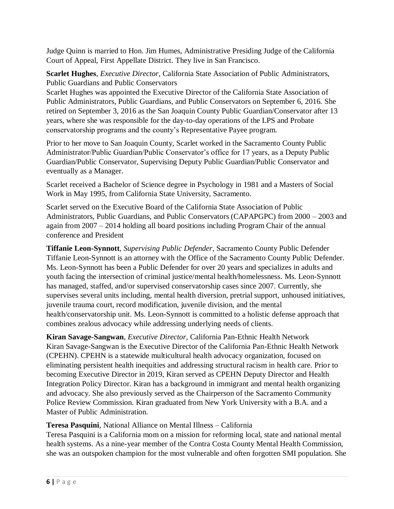Judge Quinn is married to Hon. Jim Humes, Administrative Presiding Judge of the California Court of Appeal, First Appellate District. They live in San Francisco.

**Scarlet Hughes**, *Executive Director,* California State Association of Public Administrators, Public Guardians and Public Conservators

Scarlet Hughes was appointed the Executive Director of the California State Association of Public Administrators, Public Guardians, and Public Conservators on September 6, 2016. She retired on September 3, 2016 as the San Joaquin County Public Guardian/Conservator after 13 years, where she was responsible for the day-to-day operations of the LPS and Probate conservatorship programs and the county's Representative Payee program.

Prior to her move to San Joaquin County, Scarlet worked in the Sacramento County Public Administrator/Public Guardian/Public Conservator's office for 17 years, as a Deputy Public Guardian/Public Conservator, Supervising Deputy Public Guardian/Public Conservator and eventually as a Manager.

Scarlet received a Bachelor of Science degree in Psychology in 1981 and a Masters of Social Work in May 1995, from California State University, Sacramento.

Scarlet served on the Executive Board of the California State Association of Public Administrators, Public Guardians, and Public Conservators (CAPAPGPC) from 2000 – 2003 and again from 2007 – 2014 holding all board positions including Program Chair of the annual conference and President

**Tiffanie Leon-Synnott**, *Supervising Public Defender,* Sacramento County Public Defender Tiffanie Leon-Synnott is an attorney with the Office of the Sacramento County Public Defender. Ms. Leon-Synnott has been a Public Defender for over 20 years and specializes in adults and youth facing the intersection of criminal justice/mental health/homelessness. Ms. Leon-Synnott has managed, staffed, and/or supervised conservatorship cases since 2007. Currently, she supervises several units including, mental health diversion, pretrial support, unhoused initiatives, juvenile trauma court, record modification, juvenile division, and the mental health/conservatorship unit. Ms. Leon-Synnott is committed to a holistic defense approach that combines zealous advocacy while addressing underlying needs of clients.

**Kiran Savage-Sangwan**, *Executive Director,* California Pan-Ethnic Health Network Kiran Savage-Sangwan is the Executive Director of the California Pan-Ethnic Health Network (CPEHN). CPEHN is a statewide multicultural health advocacy organization, focused on eliminating persistent health inequities and addressing structural racism in health care. Prior to becoming Executive Director in 2019, Kiran served as CPEHN Deputy Director and Health Integration Policy Director. Kiran has a background in immigrant and mental health organizing and advocacy. She also previously served as the Chairperson of the Sacramento Community Police Review Commission. Kiran graduated from New York University with a B.A. and a Master of Public Administration.

# **Teresa Pasquini***,* National Alliance on Mental Illness – California

Teresa Pasquini is a California mom on a mission for reforming local, state and national mental health systems. As a nine-year member of the Contra Costa County Mental Health Commission, she was an outspoken champion for the most vulnerable and often forgotten SMI population. She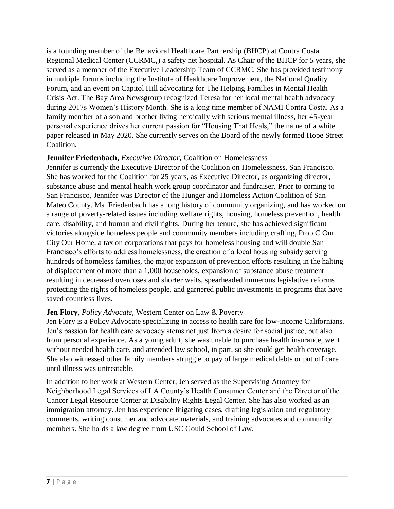is a founding member of the Behavioral Healthcare Partnership (BHCP) at Contra Costa Regional Medical Center (CCRMC,) a safety net hospital. As Chair of the BHCP for 5 years, she served as a member of the Executive Leadership Team of CCRMC. She has provided testimony in multiple forums including the Institute of Healthcare Improvement, the National Quality Forum, and an event on Capitol Hill advocating for The Helping Families in Mental Health Crisis Act. The Bay Area Newsgroup recognized Teresa for her local mental health advocacy during 2017s Women's History Month. She is a long time member of NAMI Contra Costa. As a family member of a son and brother living heroically with serious mental illness, her 45-year personal experience drives her current passion for "Housing That Heals," the name of a white paper released in May 2020. She currently serves on the Board of the newly formed Hope Street Coalition.

#### **Jennifer Friedenbach**, *Executive Director,* Coalition on Homelessness

Jennifer is currently the Executive Director of the Coalition on Homelessness, San Francisco. She has worked for the Coalition for 25 years, as Executive Director, as organizing director, substance abuse and mental health work group coordinator and fundraiser. Prior to coming to San Francisco, Jennifer was Director of the Hunger and Homeless Action Coalition of San Mateo County. Ms. Friedenbach has a long history of community organizing, and has worked on a range of poverty-related issues including welfare rights, housing, homeless prevention, health care, disability, and human and civil rights. During her tenure, she has achieved significant victories alongside homeless people and community members including crafting, Prop C Our City Our Home, a tax on corporations that pays for homeless housing and will double San Francisco's efforts to address homelessness, the creation of a local housing subsidy serving hundreds of homeless families, the major expansion of prevention efforts resulting in the halting of displacement of more than a 1,000 households, expansion of substance abuse treatment resulting in decreased overdoses and shorter waits, spearheaded numerous legislative reforms protecting the rights of homeless people, and garnered public investments in programs that have saved countless lives.

#### **Jen Flory**, *Policy Advocate,* Western Center on Law & Poverty

Jen Flory is a Policy Advocate specializing in access to health care for low-income Californians. Jen's passion for health care advocacy stems not just from a desire for social justice, but also from personal experience. As a young adult, she was unable to purchase health insurance, went without needed health care, and attended law school, in part, so she could get health coverage. She also witnessed other family members struggle to pay of large medical debts or put off care until illness was untreatable.

In addition to her work at Western Center, Jen served as the Supervising Attorney for Neighborhood Legal Services of LA County's Health Consumer Center and the Director of the Cancer Legal Resource Center at Disability Rights Legal Center. She has also worked as an immigration attorney. Jen has experience litigating cases, drafting legislation and regulatory comments, writing consumer and advocate materials, and training advocates and community members. She holds a law degree from USC Gould School of Law.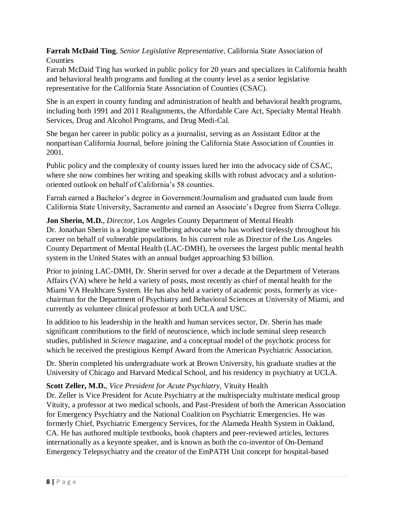**Farrah McDaid Ting**, *Senior Legislative Representative,* California State Association of Counties

Farrah McDaid Ting has worked in public policy for 20 years and specializes in California health and behavioral health programs and funding at the county level as a senior legislative representative for the California State Association of Counties (CSAC).

She is an expert in county funding and administration of health and behavioral health programs, including both 1991 and 2011 Realignments, the Affordable Care Act, Specialty Mental Health Services, Drug and Alcohol Programs, and Drug Medi-Cal.

She began her career in public policy as a journalist, serving as an Assistant Editor at the nonpartisan California Journal, before joining the California State Association of Counties in 2001.

Public policy and the complexity of county issues lured her into the advocacy side of CSAC, where she now combines her writing and speaking skills with robust advocacy and a solutionoriented outlook on behalf of California's 58 counties.

Farrah earned a Bachelor's degree in Government/Journalism and graduated cum laude from California State University, Sacramento and earned an Associate's Degree from Sierra College.

**Jon Sherin, M.D.**, *Director,* Los Angeles County Department of Mental Health Dr. Jonathan Sherin is a longtime wellbeing advocate who has worked tirelessly throughout his career on behalf of vulnerable populations. In his current role as Director of the Los Angeles County Department of Mental Health (LAC-DMH), he oversees the largest public mental health system in the United States with an annual budget approaching \$3 billion.

Prior to joining LAC-DMH, Dr. Sherin served for over a decade at the Department of Veterans Affairs (VA) where he held a variety of posts, most recently as chief of mental health for the Miami VA Healthcare System. He has also held a variety of academic posts, formerly as vicechairman for the Department of Psychiatry and Behavioral Sciences at University of Miami, and currently as volunteer clinical professor at both UCLA and USC.

In addition to his leadership in the health and human services sector, Dr. Sherin has made significant contributions to the field of neuroscience, which include seminal sleep research studies, published in *Science* magazine, and a conceptual model of the psychotic process for which he received the prestigious Kempf Award from the American Psychiatric Association.

Dr. Sherin completed his undergraduate work at Brown University, his graduate studies at the University of Chicago and Harvard Medical School, and his residency in psychiatry at UCLA.

# **Scott Zeller, M.D.**, *Vice President for Acute Psychiatry,* Vituity Health

Dr. Zeller is Vice President for Acute Psychiatry at the multispecialty multistate medical group Vituity, a professor at two medical schools, and Past-President of both the American Association for Emergency Psychiatry and the National Coalition on Psychiatric Emergencies. He was formerly Chief, Psychiatric Emergency Services, for the Alameda Health System in Oakland, CA. He has authored multiple textbooks, book chapters and peer-reviewed articles, lectures internationally as a keynote speaker, and is known as both the co-inventor of On-Demand Emergency Telepsychiatry and the creator of the EmPATH Unit concept for hospital-based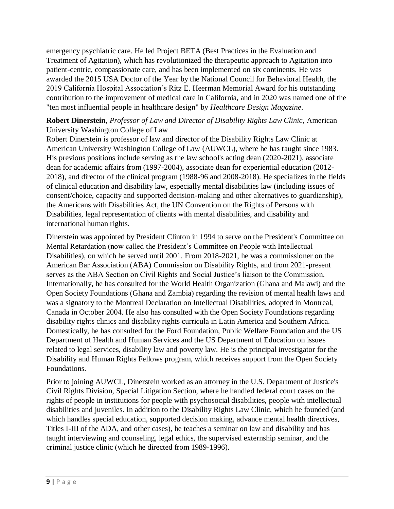emergency psychiatric care. He led Project BETA (Best Practices in the Evaluation and Treatment of Agitation), which has revolutionized the therapeutic approach to Agitation into patient-centric, compassionate care, and has been implemented on six continents. He was awarded the 2015 USA Doctor of the Year by the National Council for Behavioral Health, the 2019 California Hospital Association's Ritz E. Heerman Memorial Award for his outstanding contribution to the improvement of medical care in California, and in 2020 was named one of the "ten most influential people in healthcare design" by *Healthcare Design Magazine*.

#### **Robert Dinerstein**, *Professor of Law and Director of Disability Rights Law Clinic,* American University Washington College of Law

Robert Dinerstein is professor of law and director of the Disability Rights Law Clinic at American University Washington College of Law (AUWCL), where he has taught since 1983. His previous positions include serving as the law school's acting dean (2020-2021), associate dean for academic affairs from (1997-2004), associate dean for experiential education (2012- 2018), and director of the clinical program (1988-96 and 2008-2018). He specializes in the fields of clinical education and disability law, especially mental disabilities law (including issues of consent/choice, capacity and supported decision-making and other alternatives to guardianship), the Americans with Disabilities Act, the UN Convention on the Rights of Persons with Disabilities, legal representation of clients with mental disabilities, and disability and international human rights.

Dinerstein was appointed by President Clinton in 1994 to serve on the President's Committee on Mental Retardation (now called the President's Committee on People with Intellectual Disabilities), on which he served until 2001. From 2018-2021, he was a commissioner on the American Bar Association (ABA) Commission on Disability Rights, and from 2021-present serves as the ABA Section on Civil Rights and Social Justice's liaison to the Commission. Internationally, he has consulted for the World Health Organization (Ghana and Malawi) and the Open Society Foundations (Ghana and Zambia) regarding the revision of mental health laws and was a signatory to the Montreal Declaration on Intellectual Disabilities, adopted in Montreal, Canada in October 2004. He also has consulted with the Open Society Foundations regarding disability rights clinics and disability rights curricula in Latin America and Southern Africa. Domestically, he has consulted for the Ford Foundation, Public Welfare Foundation and the US Department of Health and Human Services and the US Department of Education on issues related to legal services, disability law and poverty law. He is the principal investigator for the Disability and Human Rights Fellows program, which receives support from the Open Society Foundations.

Prior to joining AUWCL, Dinerstein worked as an attorney in the U.S. Department of Justice's Civil Rights Division, Special Litigation Section, where he handled federal court cases on the rights of people in institutions for people with psychosocial disabilities, people with intellectual disabilities and juveniles. In addition to the Disability Rights Law Clinic, which he founded (and which handles special education, supported decision making, advance mental health directives, Titles I-III of the ADA, and other cases), he teaches a seminar on law and disability and has taught interviewing and counseling, legal ethics, the supervised externship seminar, and the criminal justice clinic (which he directed from 1989-1996).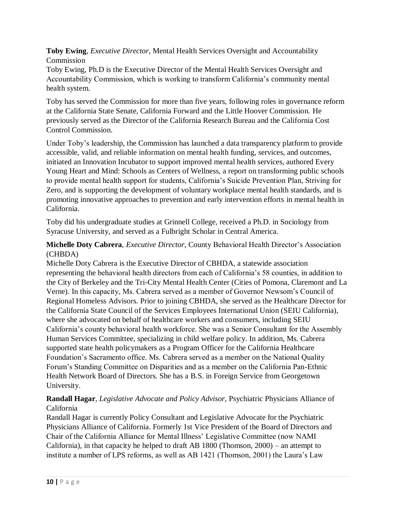**Toby Ewing**, *Executive Director,* Mental Health Services Oversight and Accountability Commission

Toby Ewing, Ph.D is the Executive Director of the Mental Health Services Oversight and Accountability Commission, which is working to transform California's community mental health system.

Toby has served the Commission for more than five years, following roles in governance reform at the California State Senate, California Forward and the Little Hoover Commission. He previously served as the Director of the California Research Bureau and the California Cost Control Commission.

Under Toby's leadership, the Commission has launched a data transparency platform to provide accessible, valid, and reliable information on mental health funding, services, and outcomes, initiated an Innovation Incubator to support improved mental health services, authored Every Young Heart and Mind: Schools as Centers of Wellness, a report on transforming public schools to provide mental health support for students, California's Suicide Prevention Plan, Striving for Zero, and is supporting the development of voluntary workplace mental health standards, and is promoting innovative approaches to prevention and early intervention efforts in mental health in California.

Toby did his undergraduate studies at Grinnell College, received a Ph.D. in Sociology from Syracuse University, and served as a Fulbright Scholar in Central America.

# **Michelle Doty Cabrera**, *Executive Director,* County Behavioral Health Director's Association (CHBDA)

Michelle Doty Cabrera is the Executive Director of CBHDA, a statewide association representing the behavioral health directors from each of California's 58 counties, in addition to the City of Berkeley and the Tri-City Mental Health Center (Cities of Pomona, Claremont and La Verne). In this capacity, Ms. Cabrera served as a member of Governor Newsom's Council of Regional Homeless Advisors. Prior to joining CBHDA, she served as the Healthcare Director for the California State Council of the Services Employees International Union (SEIU California), where she advocated on behalf of healthcare workers and consumers, including SEIU California's county behavioral health workforce. She was a Senior Consultant for the Assembly Human Services Committee, specializing in child welfare policy. In addition, Ms. Cabrera supported state health policymakers as a Program Officer for the California Healthcare Foundation's Sacramento office. Ms. Cabrera served as a member on the National Quality Forum's Standing Committee on Disparities and as a member on the California Pan-Ethnic Health Network Board of Directors. She has a B.S. in Foreign Service from Georgetown University.

# **Randall Hagar**, *Legislative Advocate and Policy Advisor,* Psychiatric Physicians Alliance of California

Randall Hagar is currently Policy Consultant and Legislative Advocate for the Psychiatric Physicians Alliance of California. Formerly 1st Vice President of the Board of Directors and Chair of the California Alliance for Mental Illness' Legislative Committee (now NAMI California), in that capacity he helped to draft AB 1800 (Thomson, 2000) – an attempt to institute a number of LPS reforms, as well as AB 1421 (Thomson, 2001) the Laura's Law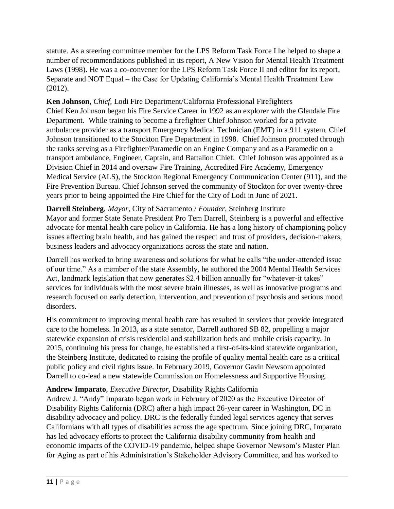statute. As a steering committee member for the LPS Reform Task Force I he helped to shape a number of recommendations published in its report, A New Vision for Mental Health Treatment Laws (1998). He was a co-convener for the LPS Reform Task Force II and editor for its report, Separate and NOT Equal – the Case for Updating California's Mental Health Treatment Law (2012).

**Ken Johnson**, *Chief,* Lodi Fire Department/California Professional Firefighters Chief Ken Johnson began his Fire Service Career in 1992 as an explorer with the Glendale Fire Department. While training to become a firefighter Chief Johnson worked for a private ambulance provider as a transport Emergency Medical Technician (EMT) in a 911 system. Chief Johnson transitioned to the Stockton Fire Department in 1998. Chief Johnson promoted through the ranks serving as a Firefighter/Paramedic on an Engine Company and as a Paramedic on a transport ambulance, Engineer, Captain, and Battalion Chief. Chief Johnson was appointed as a Division Chief in 2014 and oversaw Fire Training, Accredited Fire Academy, Emergency Medical Service (ALS), the Stockton Regional Emergency Communication Center (911), and the Fire Prevention Bureau. Chief Johnson served the community of Stockton for over twenty-three years prior to being appointed the Fire Chief for the City of Lodi in June of 2021.

**Darrell Steinberg**, *Mayor,* City of Sacramento / *Founder,* Steinberg Institute Mayor and former State Senate President Pro Tem Darrell, Steinberg is a powerful and effective advocate for mental health care policy in California. He has a long history of championing policy issues affecting brain health, and has gained the respect and trust of providers, decision-makers, business leaders and advocacy organizations across the state and nation.

Darrell has worked to bring awareness and solutions for what he calls "the under-attended issue of our time." As a member of the state Assembly, he authored the 2004 Mental Health Services Act, landmark legislation that now generates \$2.4 billion annually for "whatever-it takes" services for individuals with the most severe brain illnesses, as well as innovative programs and research focused on early detection, intervention, and prevention of psychosis and serious mood disorders.

His commitment to improving mental health care has resulted in services that provide integrated care to the homeless. In 2013, as a state senator, Darrell authored SB 82, propelling a major statewide expansion of crisis residential and stabilization beds and mobile crisis capacity. In 2015, continuing his press for change, he established a first-of-its-kind statewide organization, the Steinberg Institute, dedicated to raising the profile of quality mental health care as a critical public policy and civil rights issue. In February 2019, Governor Gavin Newsom appointed Darrell to co-lead a new statewide Commission on Homelessness and Supportive Housing.

# **Andrew Imparato**, *Executive Director,* Disability Rights California

Andrew J. "Andy" Imparato began work in February of 2020 as the Executive Director of Disability Rights California (DRC) after a high impact 26-year career in Washington, DC in disability advocacy and policy. DRC is the federally funded legal services agency that serves Californians with all types of disabilities across the age spectrum. Since joining DRC, Imparato has led advocacy efforts to protect the California disability community from health and economic impacts of the COVID-19 pandemic, helped shape Governor Newsom's Master Plan for Aging as part of his Administration's Stakeholder Advisory Committee, and has worked to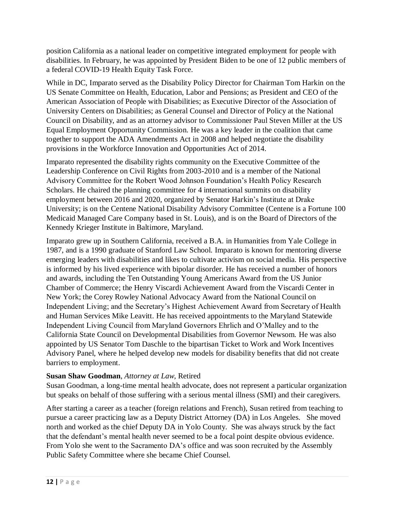position California as a national leader on competitive integrated employment for people with disabilities. In February, he was appointed by President Biden to be one of 12 public members of a federal COVID-19 Health Equity Task Force.

While in DC, Imparato served as the Disability Policy Director for Chairman Tom Harkin on the US Senate Committee on Health, Education, Labor and Pensions; as President and CEO of the American Association of People with Disabilities; as Executive Director of the Association of University Centers on Disabilities; as General Counsel and Director of Policy at the National Council on Disability, and as an attorney advisor to Commissioner Paul Steven Miller at the US Equal Employment Opportunity Commission. He was a key leader in the coalition that came together to support the ADA Amendments Act in 2008 and helped negotiate the disability provisions in the Workforce Innovation and Opportunities Act of 2014.

Imparato represented the disability rights community on the Executive Committee of the Leadership Conference on Civil Rights from 2003-2010 and is a member of the National Advisory Committee for the Robert Wood Johnson Foundation's Health Policy Research Scholars. He chaired the planning committee for 4 international summits on disability employment between 2016 and 2020, organized by Senator Harkin's Institute at Drake University; is on the Centene National Disability Advisory Committee (Centene is a Fortune 100 Medicaid Managed Care Company based in St. Louis), and is on the Board of Directors of the Kennedy Krieger Institute in Baltimore, Maryland.

Imparato grew up in Southern California, received a B.A. in Humanities from Yale College in 1987, and is a 1990 graduate of Stanford Law School. Imparato is known for mentoring diverse emerging leaders with disabilities and likes to cultivate activism on social media. His perspective is informed by his lived experience with bipolar disorder. He has received a number of honors and awards, including the Ten Outstanding Young Americans Award from the US Junior Chamber of Commerce; the Henry Viscardi Achievement Award from the Viscardi Center in New York; the Corey Rowley National Advocacy Award from the National Council on Independent Living; and the Secretary's Highest Achievement Award from Secretary of Health and Human Services Mike Leavitt. He has received appointments to the Maryland Statewide Independent Living Council from Maryland Governors Ehrlich and O'Malley and to the California State Council on Developmental Disabilities from Governor Newsom. He was also appointed by US Senator Tom Daschle to the bipartisan Ticket to Work and Work Incentives Advisory Panel, where he helped develop new models for disability benefits that did not create barriers to employment.

#### **Susan Shaw Goodman**, *Attorney at Law,* Retired

Susan Goodman, a long-time mental health advocate, does not represent a particular organization but speaks on behalf of those suffering with a serious mental illness (SMI) and their caregivers.

After starting a career as a teacher (foreign relations and French), Susan retired from teaching to pursue a career practicing law as a Deputy District Attorney (DA) in Los Angeles. She moved north and worked as the chief Deputy DA in Yolo County. She was always struck by the fact that the defendant's mental health never seemed to be a focal point despite obvious evidence. From Yolo she went to the Sacramento DA's office and was soon recruited by the Assembly Public Safety Committee where she became Chief Counsel.